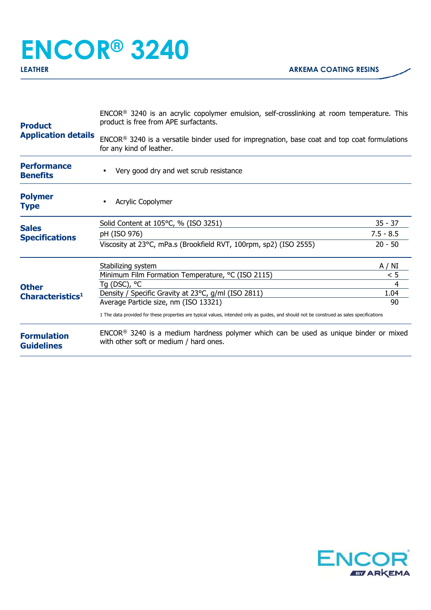## **ENCOR® 3240**

| <b>Product</b><br><b>Application details</b> | ENCOR <sup>®</sup> 3240 is an acrylic copolymer emulsion, self-crosslinking at room temperature. This<br>product is free from APE surfactants. |             |  |
|----------------------------------------------|------------------------------------------------------------------------------------------------------------------------------------------------|-------------|--|
|                                              | ENCOR® 3240 is a versatile binder used for impregnation, base coat and top coat formulations<br>for any kind of leather.                       |             |  |
| <b>Performance</b><br><b>Benefits</b>        | Very good dry and wet scrub resistance                                                                                                         |             |  |
| <b>Polymer</b><br><b>Type</b>                | Acrylic Copolymer                                                                                                                              |             |  |
|                                              | Solid Content at 105°C, % (ISO 3251)                                                                                                           | $35 - 37$   |  |
| <b>Sales</b><br><b>Specifications</b>        | pH (ISO 976)                                                                                                                                   | $7.5 - 8.5$ |  |
| <b>Other</b><br>Characteristics <sup>1</sup> | Viscosity at 23°C, mPa.s (Brookfield RVT, 100rpm, sp2) (ISO 2555)                                                                              | $20 - 50$   |  |
|                                              | Stabilizing system                                                                                                                             | A / NI      |  |
|                                              | Minimum Film Formation Temperature, °C (ISO 2115)                                                                                              | < 5         |  |
|                                              | Tg (DSC), °C<br>Density / Specific Gravity at 23°C, g/ml (ISO 2811)                                                                            | 4<br>1.04   |  |
|                                              | Average Particle size, nm (ISO 13321)                                                                                                          | 90          |  |
|                                              | 1 The data provided for these properties are typical values, intended only as guides, and should not be construed as sales specifications      |             |  |
| <b>Formulation</b><br><b>Guidelines</b>      | ENCOR <sup>®</sup> 3240 is a medium hardness polymer which can be used as unique binder or mixed<br>with other soft or medium / hard ones.     |             |  |